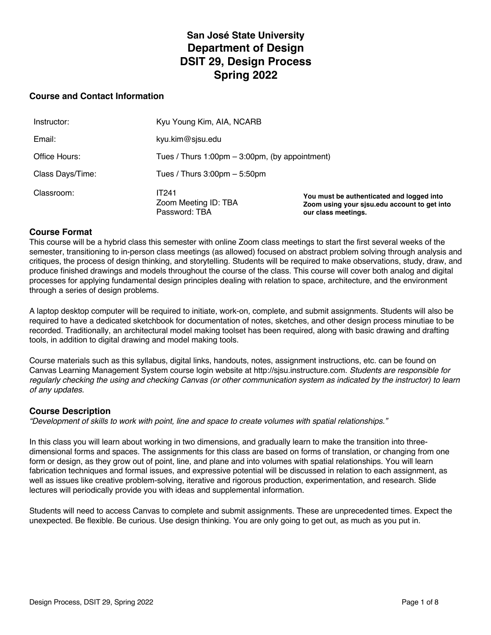# **San José State University Department of Design DSIT 29, Design Process Spring 2022**

#### **Course and Contact Information**

| Classroom:       | <b>IT241</b><br>Zoom Meeting ID: TBA<br>Password: TBA             | You must be authenticated and logged into<br>Zoom using your sisu.edu account to get into<br>our class meetings. |
|------------------|-------------------------------------------------------------------|------------------------------------------------------------------------------------------------------------------|
| Class Days/Time: | Tues / Thurs $3:00$ pm $-5:50$ pm                                 |                                                                                                                  |
| Office Hours:    | Tues / Thurs $1:00 \text{pm} - 3:00 \text{pm}$ , (by appointment) |                                                                                                                  |
| Email:           | kyu.kim@sjsu.edu                                                  |                                                                                                                  |
| Instructor:      | Kyu Young Kim, AIA, NCARB                                         |                                                                                                                  |

#### **Course Format**

This course will be a hybrid class this semester with online Zoom class meetings to start the first several weeks of the semester, transitioning to in-person class meetings (as allowed) focused on abstract problem solving through analysis and critiques, the process of design thinking, and storytelling. Students will be required to make observations, study, draw, and produce finished drawings and models throughout the course of the class. This course will cover both analog and digital processes for applying fundamental design principles dealing with relation to space, architecture, and the environment through a series of design problems.

A laptop desktop computer will be required to initiate, work-on, complete, and submit assignments. Students will also be required to have a dedicated sketchbook for documentation of notes, sketches, and other design process minutiae to be recorded. Traditionally, an architectural model making toolset has been required, along with basic drawing and drafting tools, in addition to digital drawing and model making tools.

Course materials such as this syllabus, digital links, handouts, notes, assignment instructions, etc. can be found on Canvas Learning Management System course login website at http://sjsu.instructure.com. *Students are responsible for regularly checking the using and checking Canvas (or other communication system as indicated by the instructor) to learn of any updates.*

#### **Course Description**

*"Development of skills to work with point, line and space to create volumes with spatial relationships."*

In this class you will learn about working in two dimensions, and gradually learn to make the transition into threedimensional forms and spaces. The assignments for this class are based on forms of translation, or changing from one form or design, as they grow out of point, line, and plane and into volumes with spatial relationships. You will learn fabrication techniques and formal issues, and expressive potential will be discussed in relation to each assignment, as well as issues like creative problem-solving, iterative and rigorous production, experimentation, and research. Slide lectures will periodically provide you with ideas and supplemental information.

Students will need to access Canvas to complete and submit assignments. These are unprecedented times. Expect the unexpected. Be flexible. Be curious. Use design thinking. You are only going to get out, as much as you put in.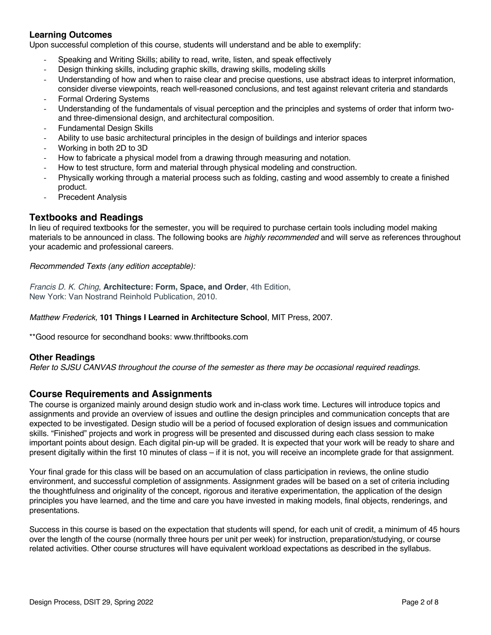# **Learning Outcomes**

Upon successful completion of this course, students will understand and be able to exemplify:

- Speaking and Writing Skills; ability to read, write, listen, and speak effectively
- Design thinking skills, including graphic skills, drawing skills, modeling skills
- Understanding of how and when to raise clear and precise questions, use abstract ideas to interpret information, consider diverse viewpoints, reach well-reasoned conclusions, and test against relevant criteria and standards
- Formal Ordering Systems
- Understanding of the fundamentals of visual perception and the principles and systems of order that inform twoand three-dimensional design, and architectural composition.
- **Fundamental Design Skills**
- Ability to use basic architectural principles in the design of buildings and interior spaces
- Working in both 2D to 3D
- How to fabricate a physical model from a drawing through measuring and notation.
- How to test structure, form and material through physical modeling and construction.
- Physically working through a material process such as folding, casting and wood assembly to create a finished product.
- Precedent Analysis

# **Textbooks and Readings**

In lieu of required textbooks for the semester, you will be required to purchase certain tools including model making materials to be announced in class. The following books are *highly recommended* and will serve as references throughout your academic and professional careers.

*Recommended Texts (any edition acceptable):*

*Francis D. K. Ching*, **Architecture: Form, Space, and Order**, 4th Edition, New York: Van Nostrand Reinhold Publication, 2010.

#### *Matthew Frederick,* **101 Things I Learned in Architecture School**, MIT Press, 2007.

\*\*Good resource for secondhand books: www.thriftbooks.com

#### **Other Readings**

*Refer to SJSU CANVAS throughout the course of the semester as there may be occasional required readings.* 

#### **Course Requirements and Assignments**

The course is organized mainly around design studio work and in-class work time. Lectures will introduce topics and assignments and provide an overview of issues and outline the design principles and communication concepts that are expected to be investigated. Design studio will be a period of focused exploration of design issues and communication skills. "Finished" projects and work in progress will be presented and discussed during each class session to make important points about design. Each digital pin-up will be graded. It is expected that your work will be ready to share and present digitally within the first 10 minutes of class – if it is not, you will receive an incomplete grade for that assignment.

Your final grade for this class will be based on an accumulation of class participation in reviews, the online studio environment, and successful completion of assignments. Assignment grades will be based on a set of criteria including the thoughtfulness and originality of the concept, rigorous and iterative experimentation, the application of the design principles you have learned, and the time and care you have invested in making models, final objects, renderings, and presentations.

Success in this course is based on the expectation that students will spend, for each unit of credit, a minimum of 45 hours over the length of the course (normally three hours per unit per week) for instruction, preparation/studying, or course related activities. Other course structures will have equivalent workload expectations as described in the syllabus.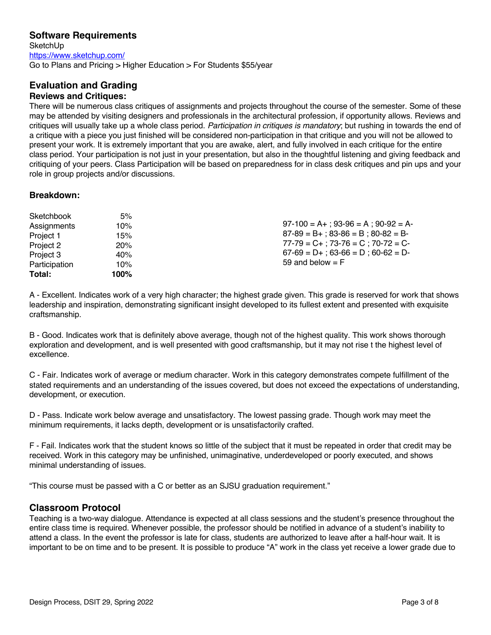# **Software Requirements**

**SketchUp** https://www.sketchup.com/ Go to Plans and Pricing > Higher Education > For Students \$55/year

# **Evaluation and Grading Reviews and Critiques:**

There will be numerous class critiques of assignments and projects throughout the course of the semester. Some of these may be attended by visiting designers and professionals in the architectural profession, if opportunity allows. Reviews and critiques will usually take up a whole class period. *Participation in critiques is mandatory*; but rushing in towards the end of a critique with a piece you just finished will be considered non-participation in that critique and you will not be allowed to present your work. It is extremely important that you are awake, alert, and fully involved in each critique for the entire class period. Your participation is not just in your presentation, but also in the thoughtful listening and giving feedback and critiquing of your peers. Class Participation will be based on preparedness for in class desk critiques and pin ups and your role in group projects and/or discussions.

#### **Breakdown:**

| Total:        | 100% |                                                                                                                                     |
|---------------|------|-------------------------------------------------------------------------------------------------------------------------------------|
| Participation | 10%  | 59 and below $=$ F                                                                                                                  |
| Project 3     | 40%  | $87-89 = B+$ ; $83-86 = B$ ; $80-82 = B-$<br>$77-79 = C+$ ; $73-76 = C$ ; $70-72 = C-$<br>$67-69 = D+$ ; $63-66 = D$ ; $60-62 = D-$ |
| Project 2     | 20%  |                                                                                                                                     |
| Project 1     | 15%  |                                                                                                                                     |
| Assignments   | 10%  | $97-100 = A +$ ; 93-96 = A; 90-92 = A-                                                                                              |
| Sketchbook    | 5%   |                                                                                                                                     |

A - Excellent. Indicates work of a very high character; the highest grade given. This grade is reserved for work that shows leadership and inspiration, demonstrating significant insight developed to its fullest extent and presented with exquisite craftsmanship.

B - Good. Indicates work that is definitely above average, though not of the highest quality. This work shows thorough exploration and development, and is well presented with good craftsmanship, but it may not rise t the highest level of excellence.

C - Fair. Indicates work of average or medium character. Work in this category demonstrates compete fulfillment of the stated requirements and an understanding of the issues covered, but does not exceed the expectations of understanding, development, or execution.

D - Pass. Indicate work below average and unsatisfactory. The lowest passing grade. Though work may meet the minimum requirements, it lacks depth, development or is unsatisfactorily crafted.

F - Fail. Indicates work that the student knows so little of the subject that it must be repeated in order that credit may be received. Work in this category may be unfinished, unimaginative, underdeveloped or poorly executed, and shows minimal understanding of issues.

"This course must be passed with a C or better as an SJSU graduation requirement."

# **Classroom Protocol**

Teaching is a two-way dialogue. Attendance is expected at all class sessions and the student's presence throughout the entire class time is required. Whenever possible, the professor should be notified in advance of a student's inability to attend a class. In the event the professor is late for class, students are authorized to leave after a half-hour wait. It is important to be on time and to be present. It is possible to produce "A" work in the class yet receive a lower grade due to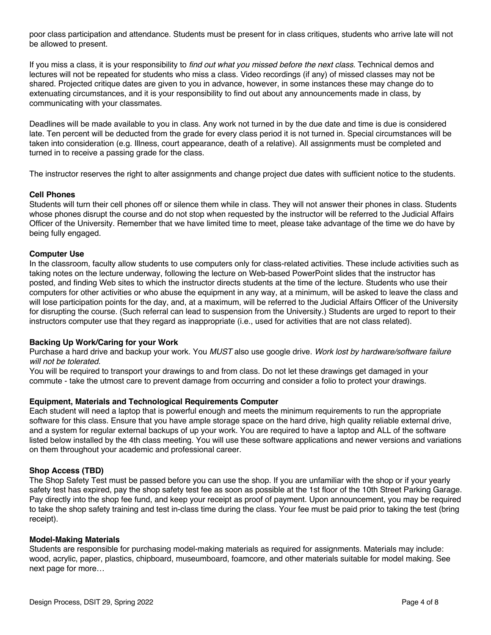poor class participation and attendance. Students must be present for in class critiques, students who arrive late will not be allowed to present.

If you miss a class, it is your responsibility to *find out what you missed before the next class*. Technical demos and lectures will not be repeated for students who miss a class. Video recordings (if any) of missed classes may not be shared. Projected critique dates are given to you in advance, however, in some instances these may change do to extenuating circumstances, and it is your responsibility to find out about any announcements made in class, by communicating with your classmates.

Deadlines will be made available to you in class. Any work not turned in by the due date and time is due is considered late. Ten percent will be deducted from the grade for every class period it is not turned in. Special circumstances will be taken into consideration (e.g. Illness, court appearance, death of a relative). All assignments must be completed and turned in to receive a passing grade for the class.

The instructor reserves the right to alter assignments and change project due dates with sufficient notice to the students.

#### **Cell Phones**

Students will turn their cell phones off or silence them while in class. They will not answer their phones in class. Students whose phones disrupt the course and do not stop when requested by the instructor will be referred to the Judicial Affairs Officer of the University. Remember that we have limited time to meet, please take advantage of the time we do have by being fully engaged.

#### **Computer Use**

In the classroom, faculty allow students to use computers only for class-related activities. These include activities such as taking notes on the lecture underway, following the lecture on Web-based PowerPoint slides that the instructor has posted, and finding Web sites to which the instructor directs students at the time of the lecture. Students who use their computers for other activities or who abuse the equipment in any way, at a minimum, will be asked to leave the class and will lose participation points for the day, and, at a maximum, will be referred to the Judicial Affairs Officer of the University for disrupting the course. (Such referral can lead to suspension from the University.) Students are urged to report to their instructors computer use that they regard as inappropriate (i.e., used for activities that are not class related).

#### **Backing Up Work/Caring for your Work**

Purchase a hard drive and backup your work. You *MUST* also use google drive. *Work lost by hardware/software failure will not be tolerated.*

You will be required to transport your drawings to and from class. Do not let these drawings get damaged in your commute - take the utmost care to prevent damage from occurring and consider a folio to protect your drawings.

#### **Equipment, Materials and Technological Requirements Computer**

Each student will need a laptop that is powerful enough and meets the minimum requirements to run the appropriate software for this class. Ensure that you have ample storage space on the hard drive, high quality reliable external drive, and a system for regular external backups of up your work. You are required to have a laptop and ALL of the software listed below installed by the 4th class meeting. You will use these software applications and newer versions and variations on them throughout your academic and professional career.

#### **Shop Access (TBD)**

The Shop Safety Test must be passed before you can use the shop. If you are unfamiliar with the shop or if your yearly safety test has expired, pay the shop safety test fee as soon as possible at the 1st floor of the 10th Street Parking Garage. Pay directly into the shop fee fund, and keep your receipt as proof of payment. Upon announcement, you may be required to take the shop safety training and test in-class time during the class. Your fee must be paid prior to taking the test (bring receipt).

#### **Model-Making Materials**

Students are responsible for purchasing model-making materials as required for assignments. Materials may include: wood, acrylic, paper, plastics, chipboard, museumboard, foamcore, and other materials suitable for model making. See next page for more…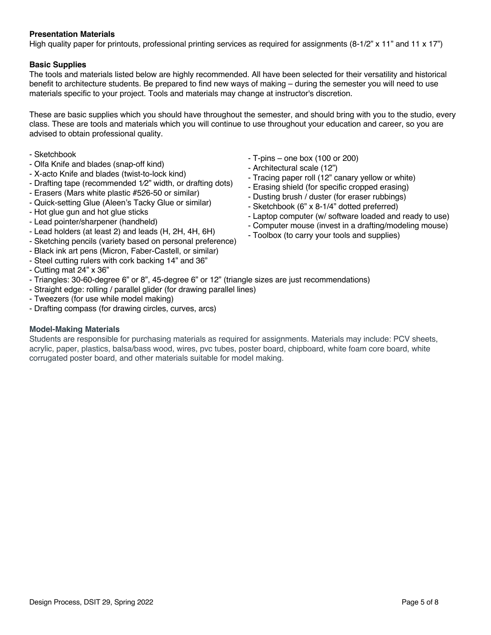#### **Presentation Materials**

High quality paper for printouts, professional printing services as required for assignments  $(8-1/2" \times 11"$  and  $11 \times 17"$ )

#### **Basic Supplies**

The tools and materials listed below are highly recommended. All have been selected for their versatility and historical benefit to architecture students. Be prepared to find new ways of making – during the semester you will need to use materials specific to your project. Tools and materials may change at instructor's discretion.

These are basic supplies which you should have throughout the semester, and should bring with you to the studio, every class. These are tools and materials which you will continue to use throughout your education and career, so you are advised to obtain professional quality.

- Sketchbook
- Olfa Knife and blades (snap-off kind)
- X-acto Knife and blades (twist-to-lock kind)
- Drafting tape (recommended 1⁄2" width, or drafting dots)
- Erasers (Mars white plastic #526-50 or similar)
- Quick-setting Glue (Aleen's Tacky Glue or similar)
- Hot glue gun and hot glue sticks
- Lead pointer/sharpener (handheld)
- Lead holders (at least 2) and leads (H, 2H, 4H, 6H)
- Sketching pencils (variety based on personal preference)
- Black ink art pens (Micron, Faber-Castell, or similar)
- Steel cutting rulers with cork backing 14" and 36"
- Cutting mat 24" x 36"
- Triangles: 30-60-degree 6" or 8", 45-degree 6" or 12" (triangle sizes are just recommendations)
- Straight edge: rolling / parallel glider (for drawing parallel lines)
- Tweezers (for use while model making)
- Drafting compass (for drawing circles, curves, arcs)

#### **Model-Making Materials**

Students are responsible for purchasing materials as required for assignments. Materials may include: PCV sheets, acrylic, paper, plastics, balsa/bass wood, wires, pvc tubes, poster board, chipboard, white foam core board, white corrugated poster board, and other materials suitable for model making.

- T-pins one box (100 or 200)
- Architectural scale (12")
- Tracing paper roll (12" canary yellow or white)
- Erasing shield (for specific cropped erasing)
- Dusting brush / duster (for eraser rubbings)
- Sketchbook (6" x 8-1/4" dotted preferred)
- Laptop computer (w/ software loaded and ready to use)
- Computer mouse (invest in a drafting/modeling mouse)
- Toolbox (to carry your tools and supplies)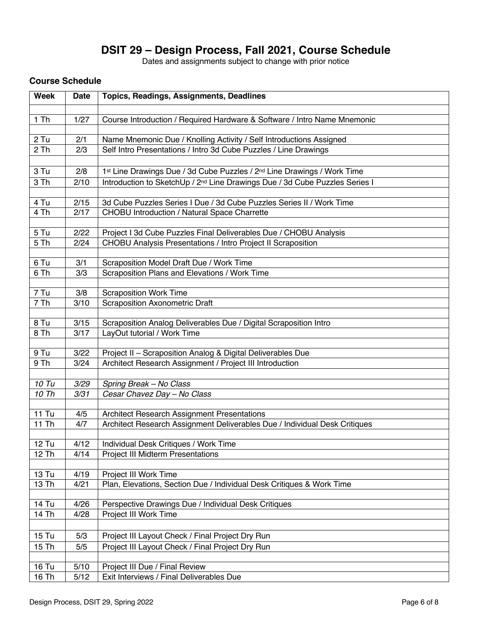# **DSIT 29 – Design Process, Fall 2021, Course Schedule**

Dates and assignments subject to change with prior notice

# **Course Schedule**

| <b>Week</b>        | <b>Date</b>  | Topics, Readings, Assignments, Deadlines                                                                                          |  |
|--------------------|--------------|-----------------------------------------------------------------------------------------------------------------------------------|--|
| $1$ Th             | 1/27         | Course Introduction / Required Hardware & Software / Intro Name Mnemonic                                                          |  |
|                    |              |                                                                                                                                   |  |
| $2$ Tu             | 2/1          | Name Mnemonic Due / Knolling Activity / Self Introductions Assigned                                                               |  |
| 2 Th               | 2/3          | Self Intro Presentations / Intro 3d Cube Puzzles / Line Drawings                                                                  |  |
| 3 Tu               |              |                                                                                                                                   |  |
| 3 Th               | 2/8<br>2/10  | 1st Line Drawings Due / 3d Cube Puzzles / 2 <sup>nd</sup> Line Drawings / Work Time                                               |  |
|                    |              | Introduction to SketchUp / 2 <sup>nd</sup> Line Drawings Due / 3d Cube Puzzles Series I                                           |  |
| 4 Tu               | 2/15         | 3d Cube Puzzles Series I Due / 3d Cube Puzzles Series II / Work Time                                                              |  |
| 4 Th               | 2/17         | CHOBU Introduction / Natural Space Charrette                                                                                      |  |
|                    |              |                                                                                                                                   |  |
| 5 Tu<br>5 Th       | 2/22<br>2/24 | Project I 3d Cube Puzzles Final Deliverables Due / CHOBU Analysis<br>CHOBU Analysis Presentations / Intro Project II Scraposition |  |
|                    |              |                                                                                                                                   |  |
| 6 Tu               | 3/1          | Scraposition Model Draft Due / Work Time                                                                                          |  |
| 6 Th               | 3/3          | Scraposition Plans and Elevations / Work Time                                                                                     |  |
| 7 Tu               | 3/8          | <b>Scraposition Work Time</b>                                                                                                     |  |
| 7 Th               | 3/10         | <b>Scraposition Axonometric Draft</b>                                                                                             |  |
|                    |              |                                                                                                                                   |  |
| 8 Tu               | 3/15         | Scraposition Analog Deliverables Due / Digital Scraposition Intro                                                                 |  |
| 8 Th               | 3/17         | LayOut tutorial / Work Time                                                                                                       |  |
| 9 Tu               | 3/22         | Project II - Scraposition Analog & Digital Deliverables Due                                                                       |  |
| 9 Th               | 3/24         | Architect Research Assignment / Project III Introduction                                                                          |  |
|                    |              |                                                                                                                                   |  |
| 10 Tu              | 3/29         | Spring Break - No Class                                                                                                           |  |
| 10 Th              | 3/31         | Cesar Chavez Day - No Class                                                                                                       |  |
| <b>11 Tu</b>       |              |                                                                                                                                   |  |
| 11 Th              | 4/5<br>4/7   | Architect Research Assignment Presentations<br>Architect Research Assignment Deliverables Due / Individual Desk Critiques         |  |
|                    |              |                                                                                                                                   |  |
| $12$ Tu            | 4/12         | Individual Desk Critiques / Work Time                                                                                             |  |
| 12 Th              | 4/14         | <b>Project III Midterm Presentations</b>                                                                                          |  |
| 13 Tu              | 4/19         | Project III Work Time                                                                                                             |  |
| 13 Th              | 4/21         | Plan, Elevations, Section Due / Individual Desk Critiques & Work Time                                                             |  |
|                    |              |                                                                                                                                   |  |
| 14 Tu              | 4/26         | Perspective Drawings Due / Individual Desk Critiques                                                                              |  |
| $\overline{14}$ Th | 4/28         | Project III Work Time                                                                                                             |  |
|                    |              |                                                                                                                                   |  |
| 15 Tu              | 5/3          | Project III Layout Check / Final Project Dry Run                                                                                  |  |
| 15 Th              | 5/5          | Project III Layout Check / Final Project Dry Run                                                                                  |  |
| 16 Tu              | 5/10         | Project III Due / Final Review                                                                                                    |  |
| 16 Th              | 5/12         | Exit Interviews / Final Deliverables Due                                                                                          |  |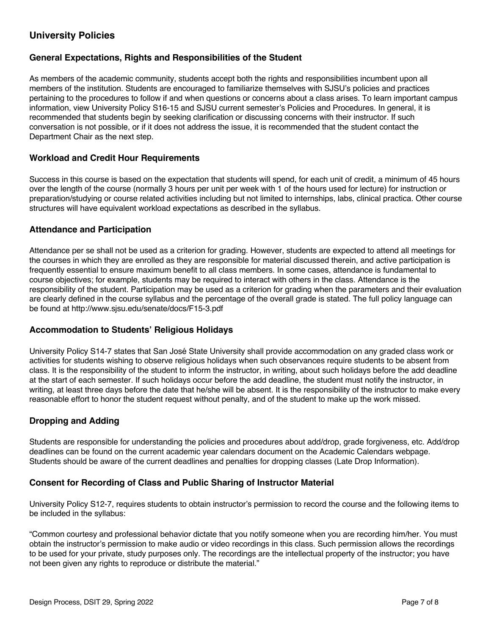# **University Policies**

# **General Expectations, Rights and Responsibilities of the Student**

As members of the academic community, students accept both the rights and responsibilities incumbent upon all members of the institution. Students are encouraged to familiarize themselves with SJSU's policies and practices pertaining to the procedures to follow if and when questions or concerns about a class arises. To learn important campus information, view University Policy S16-15 and SJSU current semester's Policies and Procedures. In general, it is recommended that students begin by seeking clarification or discussing concerns with their instructor. If such conversation is not possible, or if it does not address the issue, it is recommended that the student contact the Department Chair as the next step.

#### **Workload and Credit Hour Requirements**

Success in this course is based on the expectation that students will spend, for each unit of credit, a minimum of 45 hours over the length of the course (normally 3 hours per unit per week with 1 of the hours used for lecture) for instruction or preparation/studying or course related activities including but not limited to internships, labs, clinical practica. Other course structures will have equivalent workload expectations as described in the syllabus.

## **Attendance and Participation**

Attendance per se shall not be used as a criterion for grading. However, students are expected to attend all meetings for the courses in which they are enrolled as they are responsible for material discussed therein, and active participation is frequently essential to ensure maximum benefit to all class members. In some cases, attendance is fundamental to course objectives; for example, students may be required to interact with others in the class. Attendance is the responsibility of the student. Participation may be used as a criterion for grading when the parameters and their evaluation are clearly defined in the course syllabus and the percentage of the overall grade is stated. The full policy language can be found at http://www.sjsu.edu/senate/docs/F15-3.pdf

#### **Accommodation to Students' Religious Holidays**

University Policy S14-7 states that San José State University shall provide accommodation on any graded class work or activities for students wishing to observe religious holidays when such observances require students to be absent from class. It is the responsibility of the student to inform the instructor, in writing, about such holidays before the add deadline at the start of each semester. If such holidays occur before the add deadline, the student must notify the instructor, in writing, at least three days before the date that he/she will be absent. It is the responsibility of the instructor to make every reasonable effort to honor the student request without penalty, and of the student to make up the work missed.

# **Dropping and Adding**

Students are responsible for understanding the policies and procedures about add/drop, grade forgiveness, etc. Add/drop deadlines can be found on the current academic year calendars document on the Academic Calendars webpage. Students should be aware of the current deadlines and penalties for dropping classes (Late Drop Information).

#### **Consent for Recording of Class and Public Sharing of Instructor Material**

University Policy S12-7, requires students to obtain instructor's permission to record the course and the following items to be included in the syllabus:

"Common courtesy and professional behavior dictate that you notify someone when you are recording him/her. You must obtain the instructor's permission to make audio or video recordings in this class. Such permission allows the recordings to be used for your private, study purposes only. The recordings are the intellectual property of the instructor; you have not been given any rights to reproduce or distribute the material."